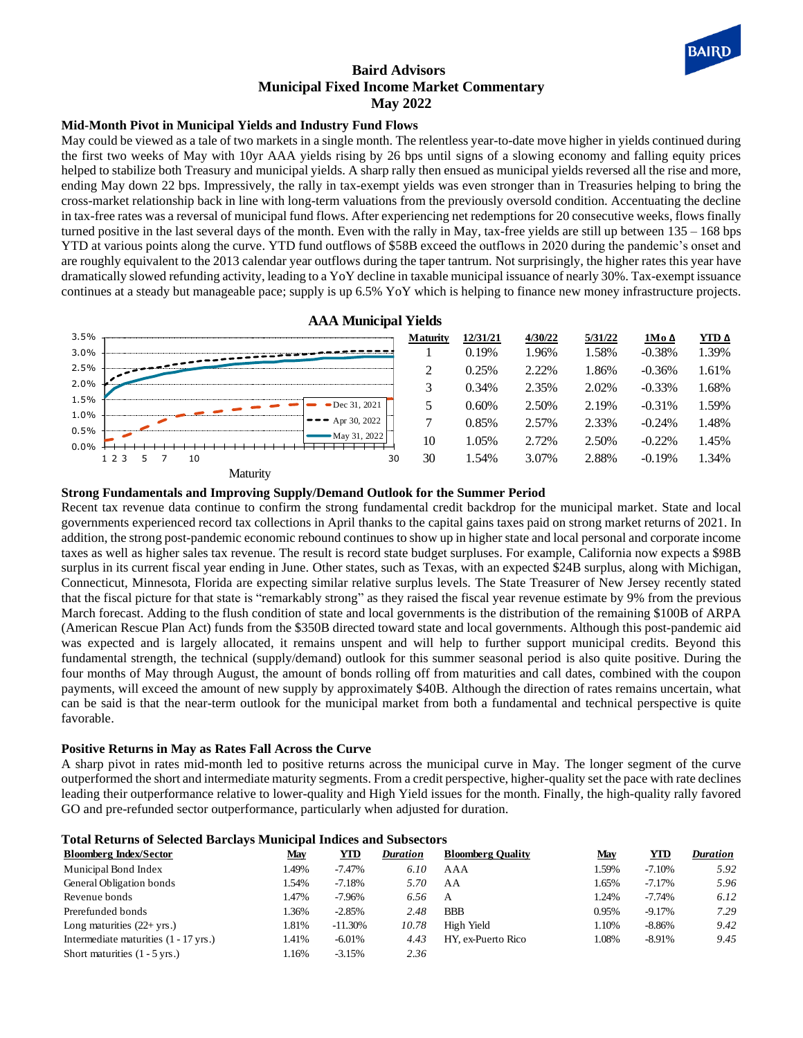

# **Baird Advisors Municipal Fixed Income Market Commentary May 2022**

## **Mid-Month Pivot in Municipal Yields and Industry Fund Flows**

May could be viewed as a tale of two markets in a single month. The relentless year-to-date move higher in yields continued during the first two weeks of May with 10yr AAA yields rising by 26 bps until signs of a slowing economy and falling equity prices helped to stabilize both Treasury and municipal yields. A sharp rally then ensued as municipal yields reversed all the rise and more, ending May down 22 bps. Impressively, the rally in tax-exempt yields was even stronger than in Treasuries helping to bring the cross-market relationship back in line with long-term valuations from the previously oversold condition. Accentuating the decline in tax-free rates was a reversal of municipal fund flows. After experiencing net redemptions for 20 consecutive weeks, flows finally turned positive in the last several days of the month. Even with the rally in May, tax-free yields are still up between 135 – 168 bps YTD at various points along the curve. YTD fund outflows of \$58B exceed the outflows in 2020 during the pandemic's onset and are roughly equivalent to the 2013 calendar year outflows during the taper tantrum. Not surprisingly, the higher rates this year have dramatically slowed refunding activity, leading to a YoY decline in taxable municipal issuance of nearly 30%. Tax-exempt issuance continues at a steady but manageable pace; supply is up 6.5% YoY which is helping to finance new money infrastructure projects.



**Strong Fundamentals and Improving Supply/Demand Outlook for the Summer Period**

Recent tax revenue data continue to confirm the strong fundamental credit backdrop for the municipal market. State and local governments experienced record tax collections in April thanks to the capital gains taxes paid on strong market returns of 2021. In addition, the strong post-pandemic economic rebound continues to show up in higher state and local personal and corporate income taxes as well as higher sales tax revenue. The result is record state budget surpluses. For example, California now expects a \$98B surplus in its current fiscal year ending in June. Other states, such as Texas, with an expected \$24B surplus, along with Michigan, Connecticut, Minnesota, Florida are expecting similar relative surplus levels. The State Treasurer of New Jersey recently stated that the fiscal picture for that state is "remarkably strong" as they raised the fiscal year revenue estimate by 9% from the previous March forecast. Adding to the flush condition of state and local governments is the distribution of the remaining \$100B of ARPA (American Rescue Plan Act) funds from the \$350B directed toward state and local governments. Although this post-pandemic aid was expected and is largely allocated, it remains unspent and will help to further support municipal credits. Beyond this fundamental strength, the technical (supply/demand) outlook for this summer seasonal period is also quite positive. During the four months of May through August, the amount of bonds rolling off from maturities and call dates, combined with the coupon payments, will exceed the amount of new supply by approximately \$40B. Although the direction of rates remains uncertain, what can be said is that the near-term outlook for the municipal market from both a fundamental and technical perspective is quite favorable.

## **Positive Returns in May as Rates Fall Across the Curve**

A sharp pivot in rates mid-month led to positive returns across the municipal curve in May. The longer segment of the curve outperformed the short and intermediate maturity segments. From a credit perspective, higher-quality set the pace with rate declines leading their outperformance relative to lower-quality and High Yield issues for the month. Finally, the high-quality rally favored GO and pre-refunded sector outperformance, particularly when adjusted for duration.

| <b>Total Returns of Selected Barclays Municipal Indices and Subsectors</b> |       |            |                 |                          |       |            |                 |
|----------------------------------------------------------------------------|-------|------------|-----------------|--------------------------|-------|------------|-----------------|
| <b>Bloomberg Index/Sector</b>                                              | May   | YTD        | <b>Duration</b> | <b>Bloomberg Quality</b> | May   | <b>YTD</b> | <b>Duration</b> |
| Municipal Bond Index                                                       | 1.49% | $-7.47\%$  | 6.10            | AAA                      | 1.59% | $-7.10%$   | 5.92            |
| General Obligation bonds                                                   | 1.54% | -7.18%     | 5.70            | AA                       | 1.65% | $-7.17\%$  | 5.96            |
| Revenue bonds                                                              | 1.47% | $-7.96%$   | 6.56            | A                        | 1.24% | $-7.74%$   | 6.12            |
| Prerefunded bonds                                                          | 1.36% | $-2.85%$   | 2.48            | <b>BBB</b>               | 0.95% | $-9.17%$   | 7.29            |
| Long maturities $(22 + yrs.)$                                              | 1.81% | $-11.30\%$ | 10.78           | High Yield               | 1.10% | $-8.86\%$  | 9.42            |
| Intermediate maturities (1 - 17 yrs.)                                      | 1.41% | $-6.01\%$  | 4.43            | HY. ex-Puerto Rico       | 1.08% | $-8.91%$   | 9.45            |
| Short maturities $(1 - 5$ yrs.)                                            | 1.16% | $-3.15%$   | 2.36            |                          |       |            |                 |